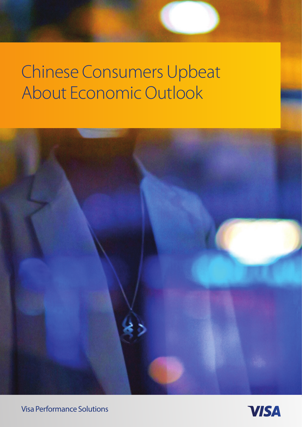

Visa Performance Solutions

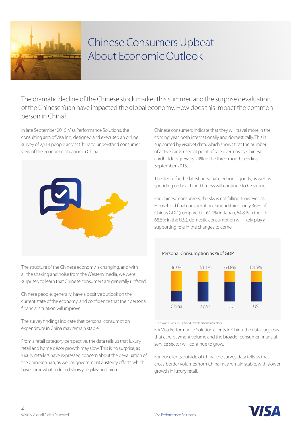

The dramatic decline of the Chinese stock market this summer, and the surprise devaluation of the Chinese Yuan have impacted the global economy. How does this impact the common person in China?

In late September 2015, Visa Performance Solutions, the consulting arm of Visa Inc., designed and executed an online survey of 2,514 people across China to understand consumer view of the economic situation in China.



The structure of the Chinese economy is changing, and with all the shaking and noise from the Western media, we were surprised to learn that Chinese consumers are generally unfazed.

Chinese people, generally, have a positive outlook on the current state of the economy, and confidence that their personal financial situation will improve.

The survey findings indicate that personal consumption expenditure in China may remain stable.

From a retail category perspective, the data tells us that luxury retail and home décor growth may slow. This is no surprise, as luxury retailers have expressed concern about the devaluation of the Chinese Yuan, as well as government austerity efforts which have somewhat reduced showy displays in China.

Chinese consumers indicate that they will travel more in the coming year, both internationally and domestically. This is supported by VisaNet data, which shows that the number of active cards used at point of sale overseas by Chinese cardholders grew by 29% in the three months ending September 2015.

The desire for the latest personal electronic goods, as well as spending on health and fitness will continue to be strong.

For Chinese consumers, the sky is not falling. However, as Household final consumption expenditure is only 36%<sup>1</sup> of China's GDP (compared to 61.1% in Japan, 64.8% in the U.K., 68.5% in the U.S.), domestic consumption will likely play a supporting role in the changes to come.

#### Personal Consumption as % of GDP



1 The World Bank, 2013 World Development Indicators

For Visa Performance Solution clients in China, the data suggests that card payment volume and the broader consumer financial service sector will continue to grow.

For our clients outside of China, the survey data tells us that cross-border volumes from China may remain stable, with slower growth in luxury retail.

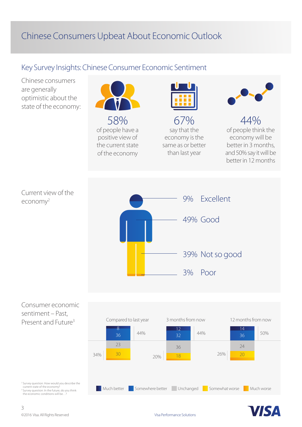### Key Survey Insights: Chinese Consumer Economic Sentiment



<sup>2</sup> Survey question: How would you describe the<br>| current state of the economy?<br><sup>3</sup> Survey question: In the future, do you think

the economic conditions will be…?

Much better Somewhere better Unchanged Somewhat worse Much worse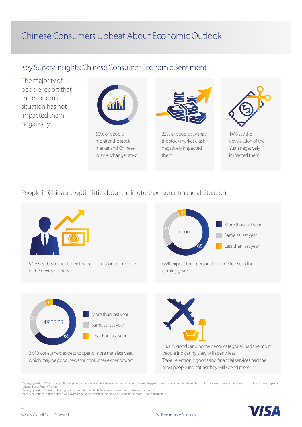#### Key Survey Insights: Chinese Consumer Economic Sentiment

The majority of people report that the economic situation has not impacted them negatively:



monitor the stock market and Chinese Yuan exchange rates<sup>4</sup>



22% of people say that the stock market crash negatively impacted them



14% say the devaluation of the Yuan negatively impacted them

People in China are optimistic about their future personal financial situation:



<sup>4</sup> Survey question: Which of the following do you routinely monitor i.e. read or find out about or even happen to learn from your friends and family. Also, for each item, tell us how much or how little it impacts you and your family/friends. <sup>5</sup> Survey question: Thinking about your income, which of the below do you think is more likely to happen...?

<sup>6</sup> Survey question: Thinking about your overall spending, which of the below do you think is more likely to happen...?

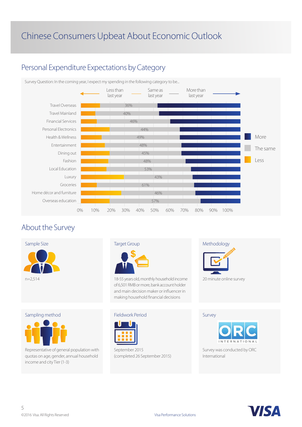### Personal Expenditure Expectations by Category



#### About the Survey



Sampling method

Representative of general population with quotas on age, gender, annual household income and city Tier (1-3)



18-55 years old, monthly household income of 6,501 RMB or more, bank account holder and main decision maker or influencer in making household financial decisions

#### Fieldwork Period



September 2015 (completed 26 September 2015)



20 minute online survey

Survey



Survey was conducted by ORC International